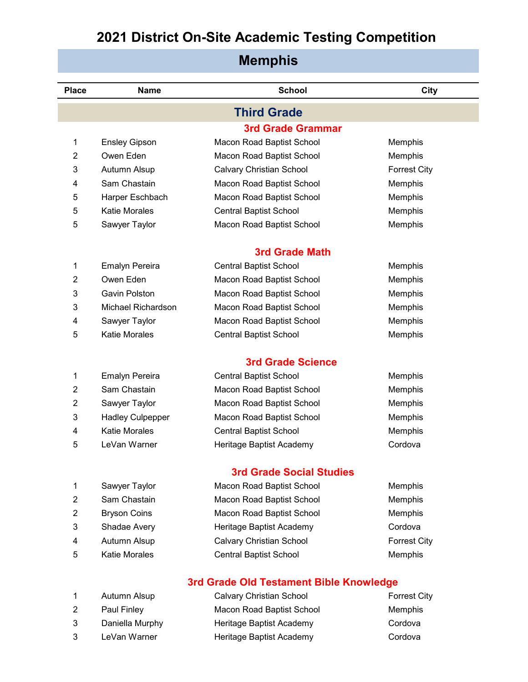| <b>Memphis</b> |                           |                                         |                     |
|----------------|---------------------------|-----------------------------------------|---------------------|
| <b>Place</b>   | <b>Name</b>               | <b>School</b>                           | City                |
|                |                           | <b>Third Grade</b>                      |                     |
|                |                           | <b>3rd Grade Grammar</b>                |                     |
| 1              | <b>Ensley Gipson</b>      | Macon Road Baptist School               | Memphis             |
| 2              | Owen Eden                 | Macon Road Baptist School               | Memphis             |
| 3              | Autumn Alsup              | <b>Calvary Christian School</b>         | <b>Forrest City</b> |
| 4              | Sam Chastain              | Macon Road Baptist School               | Memphis             |
| 5              | Harper Eschbach           | Macon Road Baptist School               | Memphis             |
| 5              | <b>Katie Morales</b>      | <b>Central Baptist School</b>           | Memphis             |
| 5              | Sawyer Taylor             | Macon Road Baptist School               | Memphis             |
|                |                           | <b>3rd Grade Math</b>                   |                     |
| 1              | <b>Emalyn Pereira</b>     | <b>Central Baptist School</b>           | Memphis             |
| $\overline{2}$ | Owen Eden                 | Macon Road Baptist School               | Memphis             |
| 3              | Gavin Polston             | Macon Road Baptist School               | Memphis             |
| 3              | <b>Michael Richardson</b> | Macon Road Baptist School               | Memphis             |
| 4              | Sawyer Taylor             | Macon Road Baptist School               | Memphis             |
| 5              | <b>Katie Morales</b>      | <b>Central Baptist School</b>           | Memphis             |
|                |                           | <b>3rd Grade Science</b>                |                     |
| 1              | <b>Emalyn Pereira</b>     | <b>Central Baptist School</b>           | Memphis             |
| $\overline{2}$ | Sam Chastain              | Macon Road Baptist School               | Memphis             |
| $\overline{2}$ | Sawyer Taylor             | Macon Road Baptist School               | Memphis             |
| 3              | <b>Hadley Culpepper</b>   | Macon Road Baptist School               | Memphis             |
| 4              | <b>Katie Morales</b>      | <b>Central Baptist School</b>           | Memphis             |
| 5              | LeVan Warner              | Heritage Baptist Academy                | Cordova             |
|                |                           | <b>3rd Grade Social Studies</b>         |                     |
| $\mathbf{1}$   | Sawyer Taylor             | Macon Road Baptist School               | Memphis             |
| $\overline{2}$ | Sam Chastain              | Macon Road Baptist School               | Memphis             |
| $\overline{2}$ | <b>Bryson Coins</b>       | Macon Road Baptist School               | Memphis             |
| 3              | Shadae Avery              | Heritage Baptist Academy                | Cordova             |
| 4              | Autumn Alsup              | <b>Calvary Christian School</b>         | <b>Forrest City</b> |
| 5              | <b>Katie Morales</b>      | <b>Central Baptist School</b>           | Memphis             |
|                |                           | 3rd Grade Old Testament Bible Knowledge |                     |
| 1              | Autumn Alsup              | Calvary Christian School                | <b>Forrest City</b> |
| $\overline{2}$ | Paul Finley               | Macon Road Baptist School               | Memphis             |

 Daniella Murphy Heritage Baptist Academy Cordova LeVan Warner Heritage Baptist Academy Cordova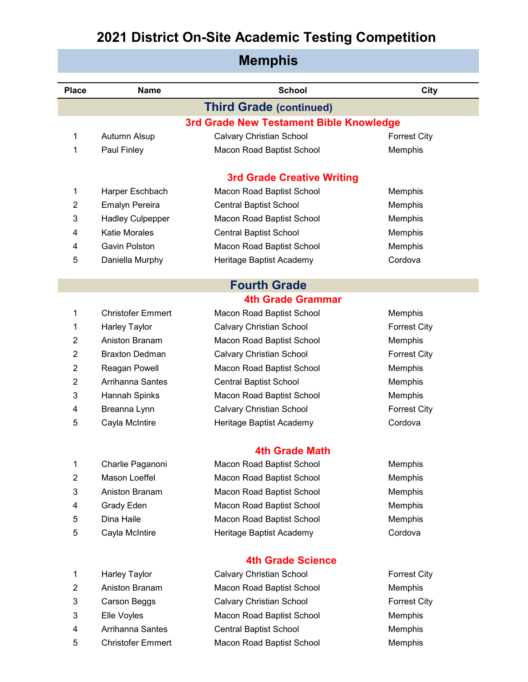| <b>Place</b>   | <b>Name</b>              | <b>School</b>                           | <b>City</b>         |
|----------------|--------------------------|-----------------------------------------|---------------------|
|                |                          | <b>Third Grade (continued)</b>          |                     |
|                |                          | 3rd Grade New Testament Bible Knowledge |                     |
| 1              | Autumn Alsup             | <b>Calvary Christian School</b>         | <b>Forrest City</b> |
| 1              | Paul Finley              | Macon Road Baptist School               | Memphis             |
|                |                          |                                         |                     |
|                |                          | <b>3rd Grade Creative Writing</b>       |                     |
| 1              | Harper Eschbach          | Macon Road Baptist School               | Memphis             |
| 2              | <b>Emalyn Pereira</b>    | <b>Central Baptist School</b>           | Memphis             |
| 3              | <b>Hadley Culpepper</b>  | Macon Road Baptist School               | Memphis             |
| 4              | <b>Katie Morales</b>     | <b>Central Baptist School</b>           | Memphis             |
| 4              | Gavin Polston            | Macon Road Baptist School               | Memphis             |
| 5              | Daniella Murphy          | Heritage Baptist Academy                | Cordova             |
|                |                          | <b>Fourth Grade</b>                     |                     |
|                |                          | <b>4th Grade Grammar</b>                |                     |
| 1              | <b>Christofer Emmert</b> | Macon Road Baptist School               | Memphis             |
| 1              | <b>Harley Taylor</b>     | <b>Calvary Christian School</b>         | <b>Forrest City</b> |
| 2              | Aniston Branam           | Macon Road Baptist School               | Memphis             |
| $\overline{2}$ | <b>Braxton Dedman</b>    | <b>Calvary Christian School</b>         | <b>Forrest City</b> |
| 2              | Reagan Powell            | Macon Road Baptist School               | Memphis             |
| 2              | Arrihanna Santes         | <b>Central Baptist School</b>           | Memphis             |
| 3              | Hannah Spinks            | Macon Road Baptist School               | Memphis             |
| 4              | Breanna Lynn             | <b>Calvary Christian School</b>         | <b>Forrest City</b> |
| 5              | Cayla McIntire           | Heritage Baptist Academy                | Cordova             |
|                |                          |                                         |                     |
|                |                          | <b>4th Grade Math</b>                   |                     |
| 1              | Charlie Paganoni         | Macon Road Baptist School               | Memphis             |
| $\overline{2}$ | Mason Loeffel            | Macon Road Baptist School               | Memphis             |
| 3              | Aniston Branam           | Macon Road Baptist School               | Memphis             |
| 4              | <b>Grady Eden</b>        | Macon Road Baptist School               | Memphis             |
| 5              | Dina Haile               | Macon Road Baptist School               | Memphis             |
| 5              | Cayla McIntire           | Heritage Baptist Academy                | Cordova             |
|                |                          | <b>4th Grade Science</b>                |                     |
| 1              | Harley Taylor            | <b>Calvary Christian School</b>         | <b>Forrest City</b> |
| $\overline{2}$ | Aniston Branam           | Macon Road Baptist School               | Memphis             |
| 3              | Carson Beggs             | <b>Calvary Christian School</b>         | <b>Forrest City</b> |
|                |                          |                                         |                     |

- 
- 
- Christofer Emmert Macon Road Baptist School Memphis
- Elle Voyles Macon Road Baptist School Memphis 4 Arrihanna Santes Central Baptist School Central Bantes Central Baptist School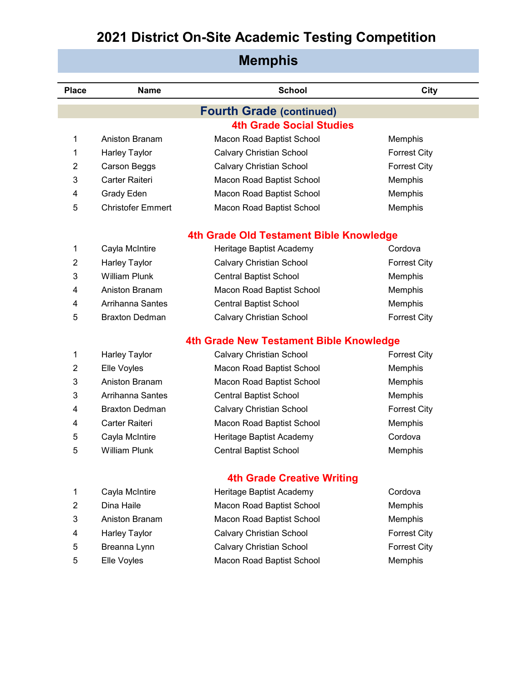| <b>Memphis</b> |                                         |                                         |                     |  |  |
|----------------|-----------------------------------------|-----------------------------------------|---------------------|--|--|
| <b>Place</b>   | <b>Name</b>                             | <b>School</b>                           | City                |  |  |
|                |                                         | <b>Fourth Grade (continued)</b>         |                     |  |  |
|                |                                         | <b>4th Grade Social Studies</b>         |                     |  |  |
| 1              | Aniston Branam                          | Macon Road Baptist School               | Memphis             |  |  |
| 1              | <b>Harley Taylor</b>                    | <b>Calvary Christian School</b>         | <b>Forrest City</b> |  |  |
| 2              | Carson Beggs                            | <b>Calvary Christian School</b>         | <b>Forrest City</b> |  |  |
| 3              | Carter Raiteri                          | Macon Road Baptist School               | Memphis             |  |  |
| 4              | <b>Grady Eden</b>                       | Macon Road Baptist School               | Memphis             |  |  |
| 5              | <b>Christofer Emmert</b>                | Macon Road Baptist School               | Memphis             |  |  |
|                | 4th Grade Old Testament Bible Knowledge |                                         |                     |  |  |
| 1              | Cayla McIntire                          | Heritage Baptist Academy                | Cordova             |  |  |
| 2              | Harley Taylor                           | <b>Calvary Christian School</b>         | <b>Forrest City</b> |  |  |
| 3              | <b>William Plunk</b>                    | <b>Central Baptist School</b>           | Memphis             |  |  |
| 4              | Aniston Branam                          | Macon Road Baptist School               | Memphis             |  |  |
| 4              | Arrihanna Santes                        | <b>Central Baptist School</b>           | Memphis             |  |  |
| 5              | <b>Braxton Dedman</b>                   | <b>Calvary Christian School</b>         | <b>Forrest City</b> |  |  |
|                |                                         | 4th Grade New Testament Bible Knowledge |                     |  |  |
| 1              | <b>Harley Taylor</b>                    | Calvary Christian School                | <b>Forrest City</b> |  |  |
| $\overline{2}$ | Elle Voyles                             | Macon Road Baptist School               | Memphis             |  |  |
| 3              | Aniston Branam                          | Macon Road Baptist School               | Memphis             |  |  |
| 3              | Arrihanna Santes                        | <b>Central Baptist School</b>           | Memphis             |  |  |
| 4              | <b>Braxton Dedman</b>                   | <b>Calvary Christian School</b>         | <b>Forrest City</b> |  |  |
| 4              | Carter Raiteri                          | Macon Road Baptist School               | Memphis             |  |  |
| 5              | Cayla McIntire                          | Heritage Baptist Academy                | Cordova             |  |  |
| 5              | <b>William Plunk</b>                    | <b>Central Baptist School</b>           | Memphis             |  |  |
|                |                                         | <b>4th Grade Creative Writing</b>       |                     |  |  |
| 1              | Cayla McIntire                          | Heritage Baptist Academy                | Cordova             |  |  |
| $\overline{2}$ | Dina Haile                              | Macon Road Baptist School               | Memphis             |  |  |
| 3              | Aniston Branam                          | Macon Road Baptist School               | Memphis             |  |  |
| 4              | <b>Harley Taylor</b>                    | <b>Calvary Christian School</b>         | <b>Forrest City</b> |  |  |
| 5              | Breanna Lynn                            | Calvary Christian School                | <b>Forrest City</b> |  |  |
| 5              | Elle Voyles                             | Macon Road Baptist School               | Memphis             |  |  |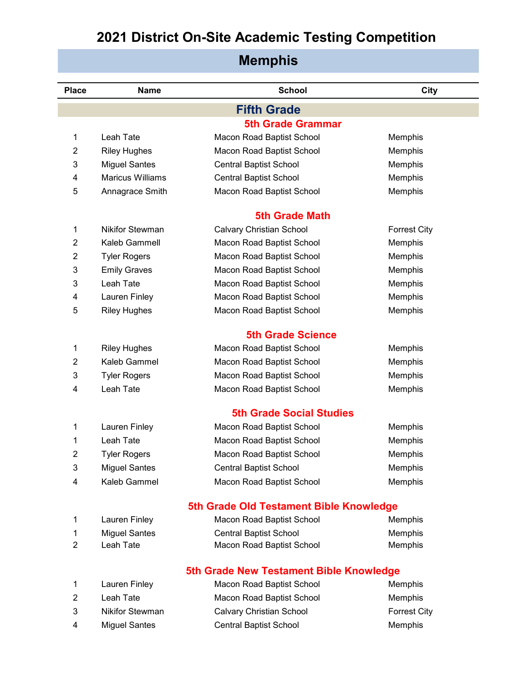| <b>Place</b>   | <b>Name</b>             | <b>School</b>                           | City                |
|----------------|-------------------------|-----------------------------------------|---------------------|
|                |                         | <b>Fifth Grade</b>                      |                     |
|                |                         | <b>5th Grade Grammar</b>                |                     |
| 1              | Leah Tate               | Macon Road Baptist School               | Memphis             |
| $\overline{2}$ | <b>Riley Hughes</b>     | Macon Road Baptist School               | Memphis             |
| 3              | <b>Miguel Santes</b>    | <b>Central Baptist School</b>           | Memphis             |
| 4              | <b>Maricus Williams</b> | <b>Central Baptist School</b>           | Memphis             |
| 5              | Annagrace Smith         | Macon Road Baptist School               | Memphis             |
|                |                         | <b>5th Grade Math</b>                   |                     |
| 1              | <b>Nikifor Stewman</b>  | <b>Calvary Christian School</b>         | <b>Forrest City</b> |
| 2              | Kaleb Gammell           | Macon Road Baptist School               | Memphis             |
| 2              | <b>Tyler Rogers</b>     | Macon Road Baptist School               | Memphis             |
| 3              | <b>Emily Graves</b>     | Macon Road Baptist School               | Memphis             |
| 3              | Leah Tate               | Macon Road Baptist School               | Memphis             |
| 4              | Lauren Finley           | Macon Road Baptist School               | Memphis             |
| 5              | <b>Riley Hughes</b>     | Macon Road Baptist School               | Memphis             |
|                |                         | <b>5th Grade Science</b>                |                     |
| 1              | <b>Riley Hughes</b>     | Macon Road Baptist School               | Memphis             |
| 2              | Kaleb Gammel            | Macon Road Baptist School               | Memphis             |
| 3              | <b>Tyler Rogers</b>     | Macon Road Baptist School               | Memphis             |
| 4              | Leah Tate               | Macon Road Baptist School               | Memphis             |
|                |                         | <b>5th Grade Social Studies</b>         |                     |
| 1              | Lauren Finley           | Macon Road Baptist School               | Memphis             |
| 1              | Leah Tate               | Macon Road Baptist School               | Memphis             |
| 2              | <b>Tyler Rogers</b>     | Macon Road Baptist School               | Memphis             |
| 3              | <b>Miguel Santes</b>    | <b>Central Baptist School</b>           | Memphis             |
| 4              | Kaleb Gammel            | Macon Road Baptist School               | Memphis             |
|                |                         | 5th Grade Old Testament Bible Knowledge |                     |
| 1              | Lauren Finley           | Macon Road Baptist School               | Memphis             |
| 1              | <b>Miguel Santes</b>    | <b>Central Baptist School</b>           | Memphis             |
| 2              | Leah Tate               | Macon Road Baptist School               | Memphis             |
|                |                         | 5th Grade New Testament Bible Knowledge |                     |
| 1              | Lauren Finley           | Macon Road Baptist School               | Memphis             |
| $\overline{2}$ | Leah Tate               | Macon Road Baptist School               | Memphis             |
| 3              | <b>Nikifor Stewman</b>  | <b>Calvary Christian School</b>         | <b>Forrest City</b> |
| 4              | <b>Miguel Santes</b>    | <b>Central Baptist School</b>           | Memphis             |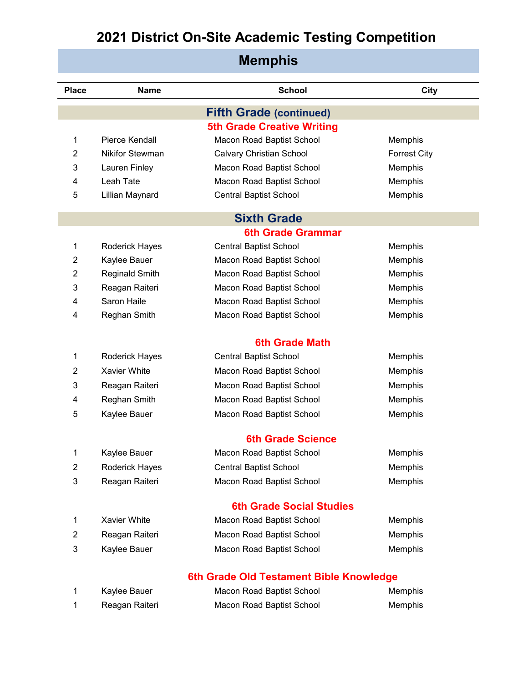| <b>Memphis</b> |                        |                                         |                     |
|----------------|------------------------|-----------------------------------------|---------------------|
| <b>Place</b>   | <b>Name</b>            | <b>School</b>                           | City                |
|                |                        | <b>Fifth Grade (continued)</b>          |                     |
|                |                        | <b>5th Grade Creative Writing</b>       |                     |
| 1              | Pierce Kendall         | Macon Road Baptist School               | Memphis             |
| $\overline{2}$ | <b>Nikifor Stewman</b> | <b>Calvary Christian School</b>         | <b>Forrest City</b> |
| 3              | Lauren Finley          | Macon Road Baptist School               | Memphis             |
| 4              | Leah Tate              | Macon Road Baptist School               | Memphis             |
| 5              | Lillian Maynard        | <b>Central Baptist School</b>           | Memphis             |
|                |                        | <b>Sixth Grade</b>                      |                     |
|                |                        | <b>6th Grade Grammar</b>                |                     |
| 1              | Roderick Hayes         | <b>Central Baptist School</b>           | Memphis             |
| $\overline{2}$ | Kaylee Bauer           | Macon Road Baptist School               | Memphis             |
| $\overline{2}$ | <b>Reginald Smith</b>  | Macon Road Baptist School               | Memphis             |
| 3              | Reagan Raiteri         | Macon Road Baptist School               | Memphis             |
| 4              | Saron Haile            | Macon Road Baptist School               | Memphis             |
| 4              | Reghan Smith           | Macon Road Baptist School               | Memphis             |
|                |                        | <b>6th Grade Math</b>                   |                     |
| 1              | Roderick Hayes         | <b>Central Baptist School</b>           | Memphis             |
| $\overline{2}$ | Xavier White           | Macon Road Baptist School               | Memphis             |
| 3              | Reagan Raiteri         | Macon Road Baptist School               | Memphis             |
| 4              | Reghan Smith           | Macon Road Baptist School               | Memphis             |
| 5              | Kaylee Bauer           | Macon Road Baptist School               | Memphis             |
|                |                        | <b>6th Grade Science</b>                |                     |
| 1              | Kaylee Bauer           | Macon Road Baptist School               | Memphis             |
| $\overline{2}$ | Roderick Hayes         | <b>Central Baptist School</b>           | Memphis             |
| 3              | Reagan Raiteri         | Macon Road Baptist School               | Memphis             |
|                |                        | <b>6th Grade Social Studies</b>         |                     |
| $\mathbf{1}$   | Xavier White           | Macon Road Baptist School               | Memphis             |
| 2              | Reagan Raiteri         | Macon Road Baptist School               | Memphis             |
| 3              | Kaylee Bauer           | Macon Road Baptist School               | Memphis             |
|                |                        | 6th Grade Old Testament Bible Knowledge |                     |
| 1              | Kaylee Bauer           | Macon Road Baptist School               | Memphis             |
| 1              | Reagan Raiteri         | Macon Road Baptist School               | Memphis             |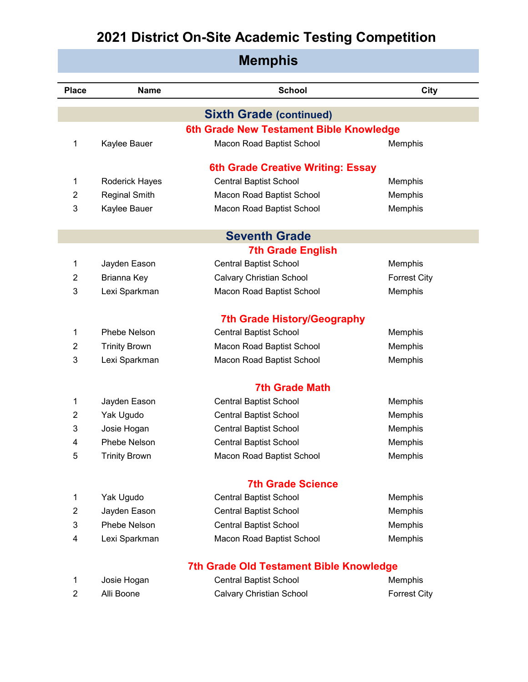| <b>Memphis</b> |                      |                                         |                     |
|----------------|----------------------|-----------------------------------------|---------------------|
| <b>Place</b>   | <b>Name</b>          | <b>School</b>                           | <b>City</b>         |
|                |                      | <b>Sixth Grade (continued)</b>          |                     |
|                |                      | 6th Grade New Testament Bible Knowledge |                     |
| 1              | Kaylee Bauer         | Macon Road Baptist School               | Memphis             |
|                |                      | 6th Grade Creative Writing: Essay       |                     |
| 1              | Roderick Hayes       | <b>Central Baptist School</b>           | Memphis             |
| $\overline{2}$ | <b>Reginal Smith</b> | Macon Road Baptist School               | Memphis             |
| 3              | Kaylee Bauer         | Macon Road Baptist School               | Memphis             |
|                |                      | <b>Seventh Grade</b>                    |                     |
|                |                      | <b>7th Grade English</b>                |                     |
| 1              | Jayden Eason         | <b>Central Baptist School</b>           | Memphis             |
| 2              | Brianna Key          | <b>Calvary Christian School</b>         | <b>Forrest City</b> |
| 3              | Lexi Sparkman        | Macon Road Baptist School               | Memphis             |
|                |                      | <b>7th Grade History/Geography</b>      |                     |
| 1              | Phebe Nelson         | <b>Central Baptist School</b>           | Memphis             |
| 2              | <b>Trinity Brown</b> | Macon Road Baptist School               | Memphis             |
| 3              | Lexi Sparkman        | Macon Road Baptist School               | Memphis             |
|                |                      | <b>7th Grade Math</b>                   |                     |
| 1              | Jayden Eason         | <b>Central Baptist School</b>           | Memphis             |
| 2              | Yak Ugudo            | <b>Central Baptist School</b>           | Memphis             |
| 3              | Josie Hogan          | <b>Central Baptist School</b>           | Memphis             |
| 4              | Phebe Nelson         | <b>Central Baptist School</b>           | Memphis             |
| 5              | <b>Trinity Brown</b> | Macon Road Baptist School               | Memphis             |
|                |                      | <b>7th Grade Science</b>                |                     |
| 1              | Yak Ugudo            | <b>Central Baptist School</b>           | Memphis             |
| $\overline{2}$ | Jayden Eason         | <b>Central Baptist School</b>           | Memphis             |
| 3              | Phebe Nelson         | <b>Central Baptist School</b>           | Memphis             |
| 4              | Lexi Sparkman        | Macon Road Baptist School               | Memphis             |
|                |                      | 7th Grade Old Testament Bible Knowledge |                     |
| 1              | Josie Hogan          | <b>Central Baptist School</b>           | Memphis             |
| $\overline{2}$ | Alli Boone           | Calvary Christian School                | <b>Forrest City</b> |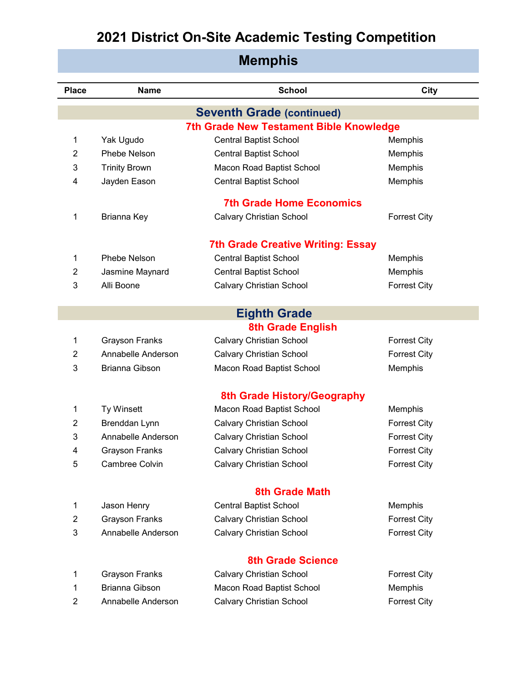| <b>Place</b>   | <b>Name</b>           | <b>School</b>                                  | <b>City</b>         |
|----------------|-----------------------|------------------------------------------------|---------------------|
|                |                       | <b>Seventh Grade (continued)</b>               |                     |
|                |                       | <b>7th Grade New Testament Bible Knowledge</b> |                     |
| 1              | Yak Ugudo             | <b>Central Baptist School</b>                  | Memphis             |
| $\overline{2}$ | Phebe Nelson          | <b>Central Baptist School</b>                  | Memphis             |
| 3              | <b>Trinity Brown</b>  | Macon Road Baptist School                      | Memphis             |
| 4              | Jayden Eason          | <b>Central Baptist School</b>                  | Memphis             |
|                |                       | <b>7th Grade Home Economics</b>                |                     |
| 1              | Brianna Key           | <b>Calvary Christian School</b>                | <b>Forrest City</b> |
|                |                       | <b>7th Grade Creative Writing: Essay</b>       |                     |
| 1              | Phebe Nelson          | <b>Central Baptist School</b>                  | Memphis             |
| 2              | Jasmine Maynard       | <b>Central Baptist School</b>                  | Memphis             |
| 3              | Alli Boone            | <b>Calvary Christian School</b>                | <b>Forrest City</b> |
|                |                       |                                                |                     |
|                |                       | <b>Eighth Grade</b>                            |                     |
|                |                       | <b>8th Grade English</b>                       |                     |
| 1              | <b>Grayson Franks</b> | <b>Calvary Christian School</b>                | <b>Forrest City</b> |
| $\overline{2}$ | Annabelle Anderson    | <b>Calvary Christian School</b>                | <b>Forrest City</b> |
| 3              | Brianna Gibson        | Macon Road Baptist School                      | Memphis             |
|                |                       | 8th Grade History/Geography                    |                     |
| 1              | Ty Winsett            | Macon Road Baptist School                      | Memphis             |
| 2              | Brenddan Lynn         | <b>Calvary Christian School</b>                | <b>Forrest City</b> |
| 3              | Annabelle Anderson    | <b>Calvary Christian School</b>                | <b>Forrest City</b> |
| 4              | <b>Grayson Franks</b> | <b>Calvary Christian School</b>                | <b>Forrest City</b> |
| 5              | Cambree Colvin        | <b>Calvary Christian School</b>                | <b>Forrest City</b> |
|                |                       | <b>8th Grade Math</b>                          |                     |
| 1              | Jason Henry           | <b>Central Baptist School</b>                  | Memphis             |
| $\overline{2}$ | <b>Grayson Franks</b> | <b>Calvary Christian School</b>                | <b>Forrest City</b> |
| 3              | Annabelle Anderson    | <b>Calvary Christian School</b>                | <b>Forrest City</b> |
|                |                       |                                                |                     |
|                |                       | <b>8th Grade Science</b>                       |                     |
| 1              | <b>Grayson Franks</b> | <b>Calvary Christian School</b>                | <b>Forrest City</b> |
| 1              | <b>Brianna Gibson</b> | Macon Road Baptist School                      | Memphis             |
| $\overline{2}$ | Annabelle Anderson    | <b>Calvary Christian School</b>                | <b>Forrest City</b> |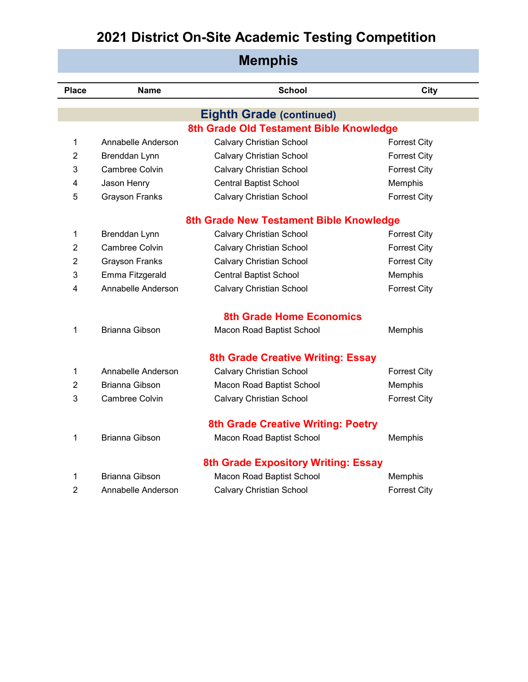| <b>Place</b>   | <b>Name</b>           | <b>School</b>                              | <b>City</b>         |
|----------------|-----------------------|--------------------------------------------|---------------------|
|                |                       | <b>Eighth Grade (continued)</b>            |                     |
|                |                       | 8th Grade Old Testament Bible Knowledge    |                     |
| 1              | Annabelle Anderson    | <b>Calvary Christian School</b>            | <b>Forrest City</b> |
| 2              | Brenddan Lynn         | <b>Calvary Christian School</b>            | <b>Forrest City</b> |
| 3              | <b>Cambree Colvin</b> | <b>Calvary Christian School</b>            | <b>Forrest City</b> |
| 4              | Jason Henry           | <b>Central Baptist School</b>              | Memphis             |
| 5              | <b>Grayson Franks</b> | <b>Calvary Christian School</b>            | <b>Forrest City</b> |
|                |                       |                                            |                     |
|                |                       | 8th Grade New Testament Bible Knowledge    |                     |
| 1              | Brenddan Lynn         | <b>Calvary Christian School</b>            | <b>Forrest City</b> |
| 2              | <b>Cambree Colvin</b> | <b>Calvary Christian School</b>            | <b>Forrest City</b> |
| 2              | <b>Grayson Franks</b> | <b>Calvary Christian School</b>            | <b>Forrest City</b> |
| 3              | Emma Fitzgerald       | <b>Central Baptist School</b>              | Memphis             |
| 4              | Annabelle Anderson    | <b>Calvary Christian School</b>            | <b>Forrest City</b> |
|                |                       |                                            |                     |
|                |                       | <b>8th Grade Home Economics</b>            |                     |
| 1              | Brianna Gibson        | Macon Road Baptist School                  | Memphis             |
|                |                       |                                            |                     |
|                |                       | 8th Grade Creative Writing: Essay          |                     |
| 1              | Annabelle Anderson    | <b>Calvary Christian School</b>            | <b>Forrest City</b> |
| $\overline{2}$ | Brianna Gibson        | Macon Road Baptist School                  | Memphis             |
| 3              | Cambree Colvin        | <b>Calvary Christian School</b>            | <b>Forrest City</b> |
|                |                       | <b>8th Grade Creative Writing: Poetry</b>  |                     |
| 1              | <b>Brianna Gibson</b> | Macon Road Baptist School                  | Memphis             |
|                |                       |                                            |                     |
|                |                       | <b>8th Grade Expository Writing: Essay</b> |                     |
| 1              | <b>Brianna Gibson</b> | Macon Road Baptist School                  | Memphis             |
| 2              | Annabelle Anderson    | <b>Calvary Christian School</b>            | <b>Forrest City</b> |
|                |                       |                                            |                     |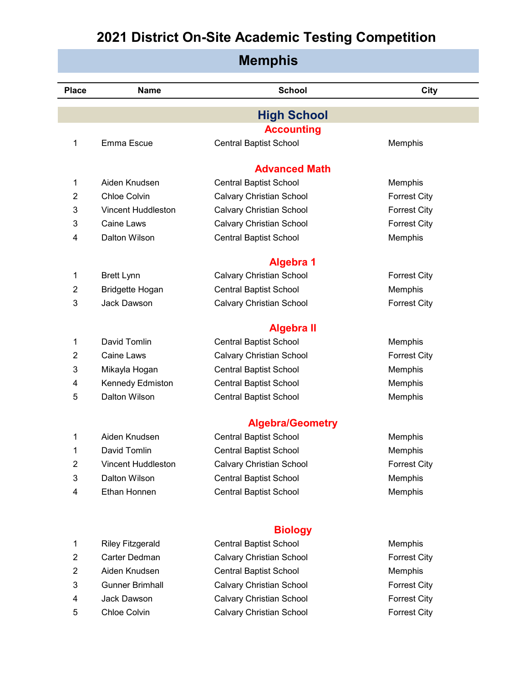| <b>Memphis</b> |                           |                                                 |                     |
|----------------|---------------------------|-------------------------------------------------|---------------------|
| <b>Place</b>   | <b>Name</b>               | <b>School</b>                                   | City                |
|                |                           | <b>High School</b>                              |                     |
|                |                           | <b>Accounting</b>                               |                     |
| 1              | Emma Escue                | <b>Central Baptist School</b>                   | Memphis             |
|                |                           | <b>Advanced Math</b>                            |                     |
| 1              | Aiden Knudsen             | <b>Central Baptist School</b>                   | Memphis             |
| $\overline{2}$ | Chloe Colvin              | <b>Calvary Christian School</b>                 | <b>Forrest City</b> |
| 3              | <b>Vincent Huddleston</b> | <b>Calvary Christian School</b>                 | <b>Forrest City</b> |
| 3              | <b>Caine Laws</b>         | <b>Calvary Christian School</b>                 | <b>Forrest City</b> |
| 4              | Dalton Wilson             | <b>Central Baptist School</b>                   | Memphis             |
|                |                           | <b>Algebra 1</b>                                |                     |
| 1              | <b>Brett Lynn</b>         | <b>Calvary Christian School</b>                 | <b>Forrest City</b> |
| $\overline{2}$ | Bridgette Hogan           | <b>Central Baptist School</b>                   | Memphis             |
| 3              | Jack Dawson               | <b>Calvary Christian School</b>                 | <b>Forrest City</b> |
|                |                           | <b>Algebra II</b>                               |                     |
| 1              | David Tomlin              | <b>Central Baptist School</b>                   | Memphis             |
| 2              | <b>Caine Laws</b>         | <b>Calvary Christian School</b>                 | <b>Forrest City</b> |
| 3              | Mikayla Hogan             | <b>Central Baptist School</b>                   | Memphis             |
| 4              | Kennedy Edmiston          | <b>Central Baptist School</b>                   | Memphis             |
| 5              | Dalton Wilson             | <b>Central Baptist School</b>                   | Memphis             |
|                |                           | <b>Algebra/Geometry</b>                         |                     |
| 1              | Aiden Knudsen             | <b>Central Baptist School</b>                   | Memphis             |
| 1              | David Tomlin              | <b>Central Baptist School</b>                   | Memphis             |
| $\overline{2}$ | <b>Vincent Huddleston</b> | <b>Calvary Christian School</b>                 | <b>Forrest City</b> |
| 3              | Dalton Wilson             | <b>Central Baptist School</b>                   | Memphis             |
| 4              | Ethan Honnen              | <b>Central Baptist School</b>                   | Memphis             |
|                |                           |                                                 |                     |
| 1              | <b>Riley Fitzgerald</b>   | <b>Biology</b><br><b>Central Baptist School</b> | Memphis             |
| $\overline{c}$ | Carter Dedman             | <b>Calvary Christian School</b>                 | <b>Forrest City</b> |
| $\overline{c}$ | Aiden Knudsen             | <b>Central Baptist School</b>                   | Memphis             |
|                |                           |                                                 |                     |

- 
- 

ı

- 
- 3 Gunner Brimhall Calvary Christian School Forrest City 4 Jack Dawson Calvary Christian School Forrest City 5 Chloe Colvin Calvary Christian School Forrest City
-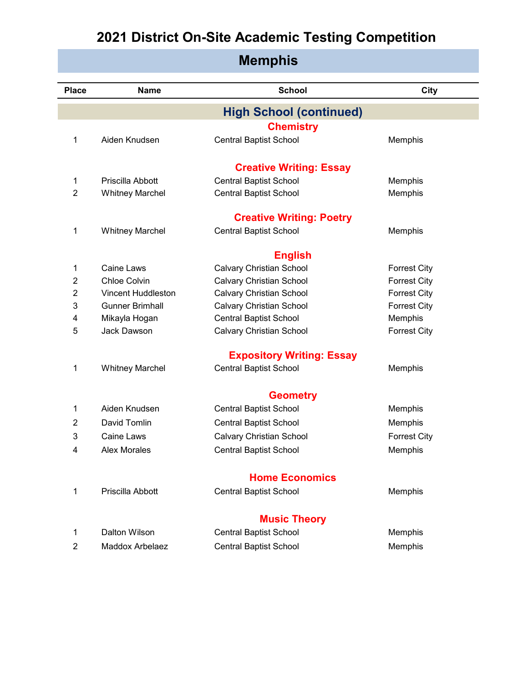| <b>Memphis</b> |                           |                                  |                     |
|----------------|---------------------------|----------------------------------|---------------------|
| <b>Place</b>   | <b>Name</b>               | <b>School</b>                    | City                |
|                |                           | <b>High School (continued)</b>   |                     |
|                |                           | <b>Chemistry</b>                 |                     |
| 1              | Aiden Knudsen             | <b>Central Baptist School</b>    | Memphis             |
|                |                           | <b>Creative Writing: Essay</b>   |                     |
| 1              | Priscilla Abbott          | <b>Central Baptist School</b>    | Memphis             |
| $\overline{2}$ | <b>Whitney Marchel</b>    | <b>Central Baptist School</b>    | Memphis             |
|                |                           | <b>Creative Writing: Poetry</b>  |                     |
| 1              | <b>Whitney Marchel</b>    | <b>Central Baptist School</b>    | Memphis             |
|                |                           | <b>English</b>                   |                     |
| 1              | <b>Caine Laws</b>         | Calvary Christian School         | <b>Forrest City</b> |
| $\overline{2}$ | Chloe Colvin              | <b>Calvary Christian School</b>  | <b>Forrest City</b> |
| 2              | <b>Vincent Huddleston</b> | <b>Calvary Christian School</b>  | <b>Forrest City</b> |
| 3              | <b>Gunner Brimhall</b>    | <b>Calvary Christian School</b>  | <b>Forrest City</b> |
| 4              | Mikayla Hogan             | <b>Central Baptist School</b>    | Memphis             |
| 5              | Jack Dawson               | <b>Calvary Christian School</b>  | <b>Forrest City</b> |
|                |                           | <b>Expository Writing: Essay</b> |                     |
| 1              | <b>Whitney Marchel</b>    | <b>Central Baptist School</b>    | Memphis             |
|                |                           | <b>Geometry</b>                  |                     |
| 1              | Aiden Knudsen             | <b>Central Baptist School</b>    | Memphis             |
| 2              | David Tomlin              | <b>Central Baptist School</b>    | Memphis             |
| 3              | Caine Laws                | Calvary Christian School         | <b>Forrest City</b> |
| 4              | <b>Alex Morales</b>       | <b>Central Baptist School</b>    | Memphis             |
|                |                           | <b>Home Economics</b>            |                     |
| 1              | Priscilla Abbott          | Central Baptist School           | Memphis             |
|                |                           | <b>Music Theory</b>              |                     |
| 1              | Dalton Wilson             | <b>Central Baptist School</b>    | Memphis             |
| $\overline{2}$ | Maddox Arbelaez           | <b>Central Baptist School</b>    | Memphis             |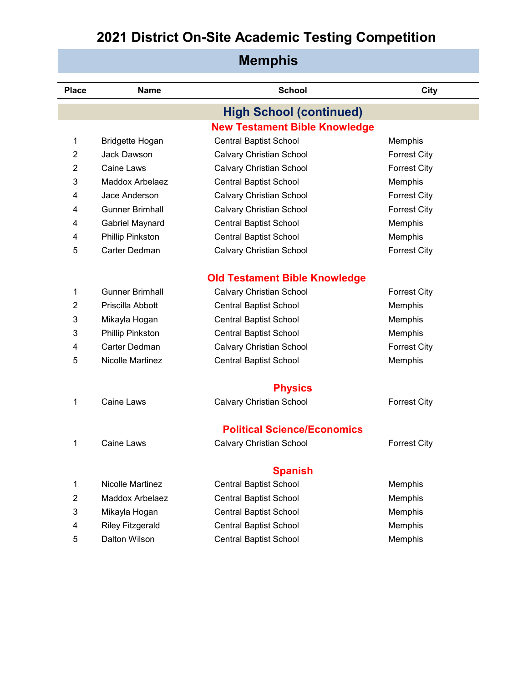| <b>Place</b> | <b>Name</b>             | <b>School</b>                        | <b>City</b>         |
|--------------|-------------------------|--------------------------------------|---------------------|
|              |                         | <b>High School (continued)</b>       |                     |
|              |                         | <b>New Testament Bible Knowledge</b> |                     |
| 1            | Bridgette Hogan         | <b>Central Baptist School</b>        | Memphis             |
| 2            | <b>Jack Dawson</b>      | Calvary Christian School             | <b>Forrest City</b> |
| 2            | Caine Laws              |                                      |                     |
|              | Maddox Arbelaez         | <b>Calvary Christian School</b>      | <b>Forrest City</b> |
| 3            |                         | <b>Central Baptist School</b>        | Memphis             |
| 4            | Jace Anderson           | <b>Calvary Christian School</b>      | <b>Forrest City</b> |
| 4            | <b>Gunner Brimhall</b>  | <b>Calvary Christian School</b>      | <b>Forrest City</b> |
| 4            | Gabriel Maynard         | <b>Central Baptist School</b>        | Memphis             |
| 4            | Phillip Pinkston        | <b>Central Baptist School</b>        | Memphis             |
| 5            | Carter Dedman           | <b>Calvary Christian School</b>      | <b>Forrest City</b> |
|              |                         |                                      |                     |
|              |                         | <b>Old Testament Bible Knowledge</b> |                     |
| 1            | <b>Gunner Brimhall</b>  | <b>Calvary Christian School</b>      | <b>Forrest City</b> |
| 2            | Priscilla Abbott        | <b>Central Baptist School</b>        | Memphis             |
| 3            | Mikayla Hogan           | <b>Central Baptist School</b>        | Memphis             |
| 3            | Phillip Pinkston        | <b>Central Baptist School</b>        | Memphis             |
| 4            | Carter Dedman           | <b>Calvary Christian School</b>      | <b>Forrest City</b> |
| 5            | <b>Nicolle Martinez</b> | <b>Central Baptist School</b>        | Memphis             |
|              |                         | <b>Physics</b>                       |                     |
| 1            | Caine Laws              | <b>Calvary Christian School</b>      | <b>Forrest City</b> |
|              |                         |                                      |                     |
|              |                         | <b>Political Science/Economics</b>   |                     |
| 1            | Caine Laws              | <b>Calvary Christian School</b>      | <b>Forrest City</b> |
|              |                         | <b>Spanish</b>                       |                     |
| 1            | <b>Nicolle Martinez</b> | <b>Central Baptist School</b>        | Memphis             |
| 2            | <b>Maddox Arbelaez</b>  | <b>Central Baptist School</b>        | Memphis             |
| 3            | Mikayla Hogan           | <b>Central Baptist School</b>        | Memphis             |
| 4            | <b>Riley Fitzgerald</b> | <b>Central Baptist School</b>        | Memphis             |
| 5            | Dalton Wilson           | <b>Central Baptist School</b>        | Memphis             |
|              |                         |                                      |                     |